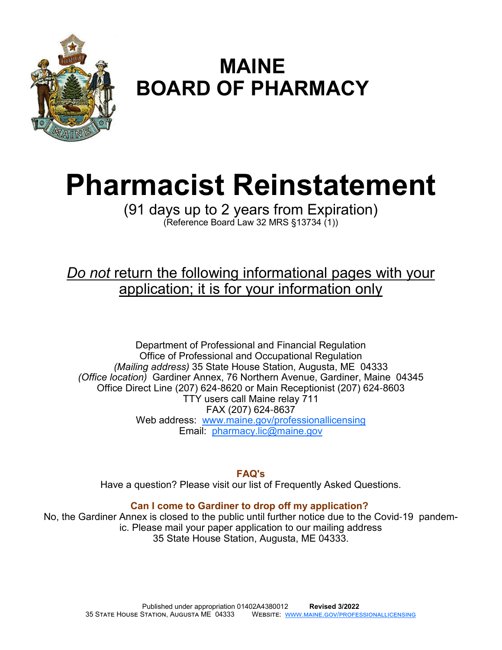

# **MAINE BOARD OF PHARMACY**

# **Pharmacist Reinstatement**

(91 days up to 2 years from Expiration) (Reference Board Law 32 MRS §13734 (1))

# *Do not* return the following informational pages with your application; it is for your information only

Department of Professional and Financial Regulation Office of Professional and Occupational Regulation *(Mailing address)* 35 State House Station, Augusta, ME 04333 *(Office location)* Gardiner Annex, 76 Northern Avenue, Gardiner, Maine 04345 Office Direct Line (207) 624-8620 or Main Receptionist (207) 624-8603 TTY users call Maine relay 711 FAX (207) 624-8637 Web address: www.maine.gov/professionallicensing Email: pharmacy.lic@maine.gov

**FAQ's** 

Have a question? Please visit our list of Frequently Asked Questions.

#### **Can I come to Gardiner to drop off my application?**

No, the Gardiner Annex is closed to the public until further notice due to the Covid-19 pandemic. Please mail your paper application to our mailing address 35 State House Station, Augusta, ME 04333.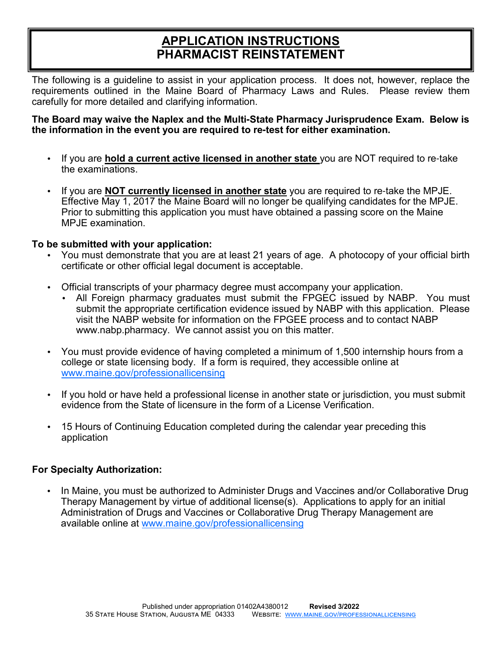# **APPLICATION INSTRUCTIONS PHARMACIST REINSTATEMENT**

The following is a guideline to assist in your application process. It does not, however, replace the requirements outlined in the Maine Board of Pharmacy Laws and Rules. Please review them carefully for more detailed and clarifying information.

#### **The Board may waive the Naplex and the Multi-State Pharmacy Jurisprudence Exam. Below is the information in the event you are required to re-test for either examination.**

- If you are **hold a current active licensed in another state** you are NOT required to re-take the examinations.
- If you are **NOT currently licensed in another state** you are required to re-take the MPJE. Effective May 1, 2017 the Maine Board will no longer be qualifying candidates for the MPJE. Prior to submitting this application you must have obtained a passing score on the Maine MPJE examination.

#### **To be submitted with your application:**

- You must demonstrate that you are at least 21 years of age. A photocopy of your official birth certificate or other official legal document is acceptable.
- Official transcripts of your pharmacy degree must accompany your application.
	- All Foreign pharmacy graduates must submit the FPGEC issued by NABP. You must submit the appropriate certification evidence issued by NABP with this application. Please visit the NABP website for information on the FPGEE process and to contact NABP www.nabp.pharmacy. We cannot assist you on this matter.
- You must provide evidence of having completed a minimum of 1,500 internship hours from a college or state licensing body. If a form is required, they accessible online at www.maine.gov/professionallicensing
- If you hold or have held a professional license in another state or jurisdiction, you must submit evidence from the State of licensure in the form of a License Verification.
- 15 Hours of Continuing Education completed during the calendar year preceding this application

#### **For Specialty Authorization:**

• In Maine, you must be authorized to Administer Drugs and Vaccines and/or Collaborative Drug Therapy Management by virtue of additional license(s). Applications to apply for an initial Administration of Drugs and Vaccines or Collaborative Drug Therapy Management are available online at www.maine.gov/professionallicensing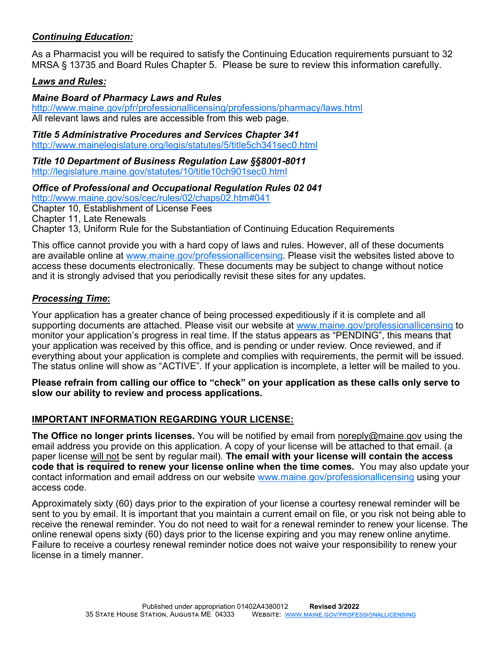#### *Continuing Education:*

As a Pharmacist you will be required to satisfy the Continuing Education requirements pursuant to 32 MRSA § 13735 and Board Rules Chapter 5. Please be sure to review this information carefully.

#### *Laws and Rules:*

#### *Maine Board of Pharmacy Laws and Rules*

http://www.maine.gov/pfr/professionallicensing/professions/pharmacy/laws.html All relevant laws and rules are accessible from this web page.

#### *Title 5 Administrative Procedures and Services Chapter 341*

http://www.mainelegislature.org/legis/statutes/5/title5ch341sec0.html

*Title 10 Department of Business Regulation Law §§8001***-***8011* http://legislature.maine.gov/statutes/10/title10ch901sec0.html

#### *Office of Professional and Occupational Regulation Rules 02 041*

http://www.maine.gov/sos/cec/rules/02/chaps02.htm#041

Chapter 10, Establishment of License Fees

Chapter 11, Late Renewals

Chapter 13, Uniform Rule for the Substantiation of Continuing Education Requirements

This office cannot provide you with a hard copy of laws and rules. However, all of these documents are available online at www.maine.gov/professionallicensing. Please visit the websites listed above to access these documents electronically. These documents may be subject to change without notice and it is strongly advised that you periodically revisit these sites for any updates.

#### *Processing Time***:**

Your application has a greater chance of being processed expeditiously if it is complete and all supporting documents are attached. Please visit our website at www.maine.gov/professionallicensing to monitor your application's progress in real time. If the status appears as "PENDING", this means that your application was received by this office, and is pending or under review. Once reviewed, and if everything about your application is complete and complies with requirements, the permit will be issued. The status online will show as "ACTIVE". If your application is incomplete, a letter will be mailed to you.

**Please refrain from calling our office to "check" on your application as these calls only serve to slow our ability to review and process applications.**

#### **IMPORTANT INFORMATION REGARDING YOUR LICENSE:**

**The Office no longer prints licenses.** You will be notified by email from noreply@maine.gov using the email address you provide on this application. A copy of your license will be attached to that email. (a paper license will not be sent by regular mail). **The email with your license will contain the access code that is required to renew your license online when the time comes.** You may also update your contact information and email address on our website www.maine.gov/professionallicensing using your access code.

Approximately sixty (60) days prior to the expiration of your license a courtesy renewal reminder will be sent to you by email. It is important that you maintain a current email on file, or you risk not being able to receive the renewal reminder. You do not need to wait for a renewal reminder to renew your license. The online renewal opens sixty (60) days prior to the license expiring and you may renew online anytime. Failure to receive a courtesy renewal reminder notice does not waive your responsibility to renew your license in a timely manner.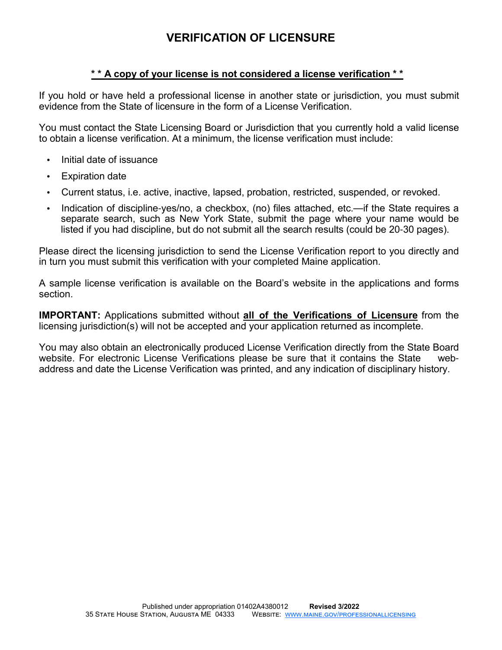# **VERIFICATION OF LICENSURE**

#### **\* \* A copy of your license is not considered a license verification \* \***

If you hold or have held a professional license in another state or jurisdiction, you must submit evidence from the State of licensure in the form of a License Verification.

You must contact the State Licensing Board or Jurisdiction that you currently hold a valid license to obtain a license verification. At a minimum, the license verification must include:

- Initial date of issuance
- **Expiration date**
- Current status, i.e. active, inactive, lapsed, probation, restricted, suspended, or revoked.
- Indication of discipline-yes/no, a checkbox, (no) files attached, etc.—if the State requires a separate search, such as New York State, submit the page where your name would be listed if you had discipline, but do not submit all the search results (could be 20-30 pages).

Please direct the licensing jurisdiction to send the License Verification report to you directly and in turn you must submit this verification with your completed Maine application.

A sample license verification is available on the Board's website in the applications and forms section.

**IMPORTANT:** Applications submitted without **all of the Verifications of Licensure** from the licensing jurisdiction(s) will not be accepted and your application returned as incomplete.

You may also obtain an electronically produced License Verification directly from the State Board website. For electronic License Verifications please be sure that it contains the State webaddress and date the License Verification was printed, and any indication of disciplinary history.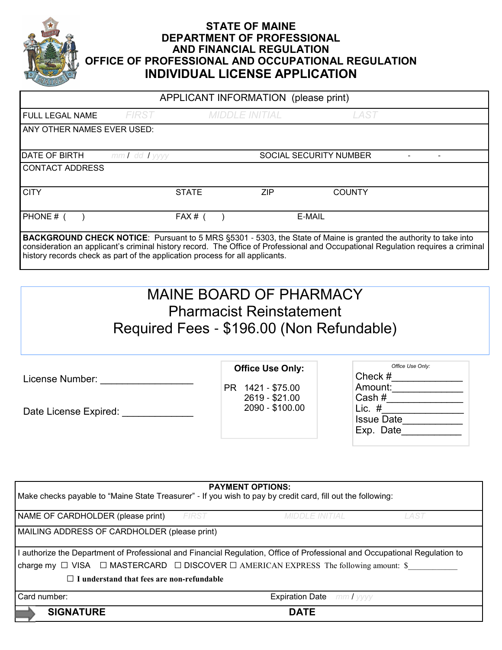

#### **STATE OF MAINE DEPARTMENT OF PROFESSIONAL AND FINANCIAL REGULATION OFFICE OF PROFESSIONAL AND OCCUPATIONAL REGULATION INDIVIDUAL LICENSE APPLICATION**

| APPLICANT INFORMATION (please print)                                                                                                                                                                                                                                                                                                         |                   |              |                       |      |                               |      |  |
|----------------------------------------------------------------------------------------------------------------------------------------------------------------------------------------------------------------------------------------------------------------------------------------------------------------------------------------------|-------------------|--------------|-----------------------|------|-------------------------------|------|--|
| FULL LEGAL NAME                                                                                                                                                                                                                                                                                                                              | <b>FIRST</b>      |              | <b>MIDDLE INITIAL</b> |      |                               | LAST |  |
| ANY OTHER NAMES EVER USED:                                                                                                                                                                                                                                                                                                                   |                   |              |                       |      |                               |      |  |
| <b>DATE OF BIRTH</b>                                                                                                                                                                                                                                                                                                                         | $mmI$ dd $I$ yyyy |              |                       |      | <b>SOCIAL SECURITY NUMBER</b> |      |  |
| <b>CONTACT ADDRESS</b>                                                                                                                                                                                                                                                                                                                       |                   |              |                       |      |                               |      |  |
| <b>CITY</b>                                                                                                                                                                                                                                                                                                                                  |                   | <b>STATE</b> |                       | ZIP. | <b>COUNTY</b>                 |      |  |
| PHONE # (                                                                                                                                                                                                                                                                                                                                    |                   | $FAX#$ (     |                       |      | E-MAIL                        |      |  |
| <b>BACKGROUND CHECK NOTICE:</b> Pursuant to 5 MRS §5301 - 5303, the State of Maine is granted the authority to take into<br>consideration an applicant's criminal history record. The Office of Professional and Occupational Regulation requires a criminal<br>history records check as part of the application process for all applicants. |                   |              |                       |      |                               |      |  |

# MAINE BOARD OF PHARMACY Pharmacist Reinstatement Required Fees - \$196.00 (Non Refundable)

License Number: \_\_\_\_\_\_\_\_\_\_\_\_\_\_\_\_\_

Date License Expired:

PR 1421 - \$75.00 2619 - \$21.00

2090 - \$100.00

**Office Use Only:**

| Office Use Only:  |
|-------------------|
| Check #           |
| Amount:           |
| Cash#             |
| Lic. #            |
| <b>Issue Date</b> |
| Exp. Date         |
|                   |

| <b>PAYMENT OPTIONS:</b><br>Make checks payable to "Maine State Treasurer" - If you wish to pay by credit card, fill out the following: |       |                                  |      |  |  |
|----------------------------------------------------------------------------------------------------------------------------------------|-------|----------------------------------|------|--|--|
| NAME OF CARDHOLDER (please print)                                                                                                      | FIRST | MIDDLE INITIAL                   | LAST |  |  |
| MAILING ADDRESS OF CARDHOLDER (please print)                                                                                           |       |                                  |      |  |  |
| l authorize the Department of Professional and Financial Regulation, Office of Professional and Occupational Regulation to             |       |                                  |      |  |  |
| charge my $\Box$ VISA $\Box$ MASTERCARD $\Box$ DISCOVER $\Box$ AMERICAN EXPRESS The following amount: \$                               |       |                                  |      |  |  |
| I I understand that fees are non-refundable                                                                                            |       |                                  |      |  |  |
| Card number:                                                                                                                           |       | <b>Expiration Date</b> mm / yyyy |      |  |  |
| <b>SIGNATURE</b>                                                                                                                       |       | <b>DATE</b>                      |      |  |  |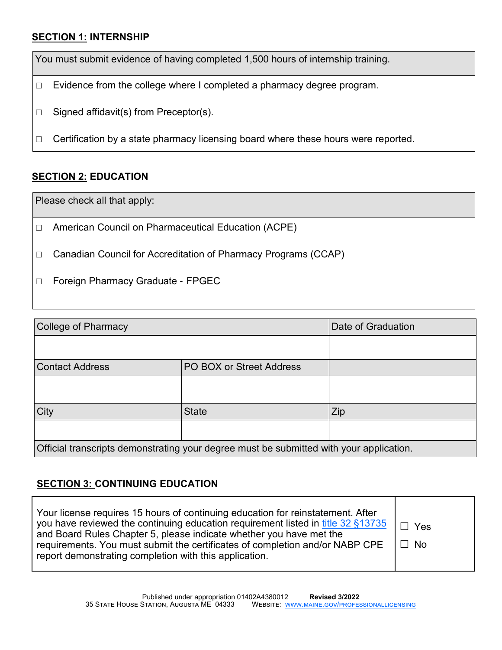#### **SECTION 1: INTERNSHIP**

You must submit evidence of having completed 1,500 hours of internship training.

 $\Box$  Evidence from the college where I completed a pharmacy degree program.

□ Signed affidavit(s) from Preceptor(s).

 $\Box$  Certification by a state pharmacy licensing board where these hours were reported.

#### **SECTION 2: EDUCATION**

Please check all that apply:

□ American Council on Pharmaceutical Education (ACPE)

□ Canadian Council for Accreditation of Pharmacy Programs (CCAP)

□ Foreign Pharmacy Graduate - FPGEC

| <b>College of Pharmacy</b>                                                              | Date of Graduation       |     |  |  |  |
|-----------------------------------------------------------------------------------------|--------------------------|-----|--|--|--|
|                                                                                         |                          |     |  |  |  |
| <b>Contact Address</b>                                                                  | PO BOX or Street Address |     |  |  |  |
|                                                                                         |                          |     |  |  |  |
| City                                                                                    | <b>State</b>             | Zip |  |  |  |
|                                                                                         |                          |     |  |  |  |
| Official transcripts demonstrating your degree must be submitted with your application. |                          |     |  |  |  |

#### **SECTION 3: CONTINUING EDUCATION**

| Your license requires 15 hours of continuing education for reinstatement. After<br>you have reviewed the continuing education requirement listed in title 32 §13735<br>and Board Rules Chapter 5, please indicate whether you have met the<br>requirements. You must submit the certificates of completion and/or NABP CPE<br>report demonstrating completion with this application. | . □ Yes<br>l □ No |
|--------------------------------------------------------------------------------------------------------------------------------------------------------------------------------------------------------------------------------------------------------------------------------------------------------------------------------------------------------------------------------------|-------------------|
|--------------------------------------------------------------------------------------------------------------------------------------------------------------------------------------------------------------------------------------------------------------------------------------------------------------------------------------------------------------------------------------|-------------------|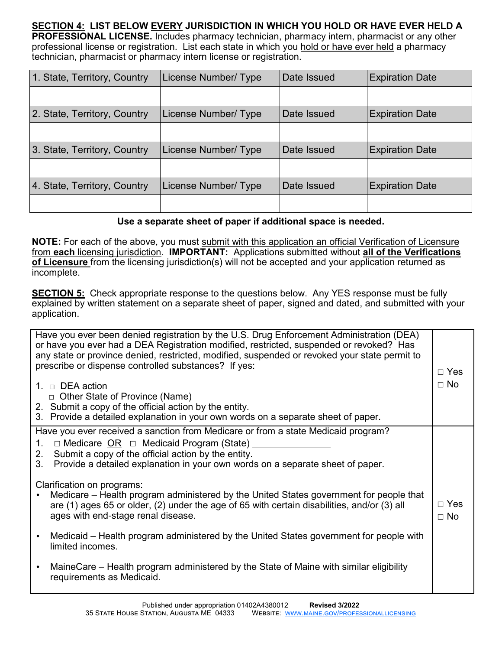**SECTION 4: LIST BELOW EVERY JURISDICTION IN WHICH YOU HOLD OR HAVE EVER HELD A PROFESSIONAL LICENSE.** Includes pharmacy technician, pharmacy intern, pharmacist or any other professional license or registration.List each state in which you hold or have ever held a pharmacy technician, pharmacist or pharmacy intern license or registration.

| 1. State, Territory, Country | License Number/ Type | Date Issued | <b>Expiration Date</b> |
|------------------------------|----------------------|-------------|------------------------|
|                              |                      |             |                        |
| 2. State, Territory, Country | License Number/ Type | Date Issued | <b>Expiration Date</b> |
|                              |                      |             |                        |
| 3. State, Territory, Country | License Number/ Type | Date Issued | <b>Expiration Date</b> |
|                              |                      |             |                        |
| 4. State, Territory, Country | License Number/ Type | Date Issued | <b>Expiration Date</b> |
|                              |                      |             |                        |

#### **Use a separate sheet of paper if additional space is needed.**

**NOTE:** For each of the above, you must submit with this application an official Verification of Licensure from **each** licensing jurisdiction. **IMPORTANT:** Applications submitted without **all of the Verifications of Licensure** from the licensing jurisdiction(s) will not be accepted and your application returned as incomplete.

**SECTION 5:** Check appropriate response to the questions below. Any YES response must be fully explained by written statement on a separate sheet of paper, signed and dated, and submitted with your application.

| Have you ever been denied registration by the U.S. Drug Enforcement Administration (DEA)<br>or have you ever had a DEA Registration modified, restricted, suspended or revoked? Has<br>any state or province denied, restricted, modified, suspended or revoked your state permit to<br>prescribe or dispense controlled substances? If yes:<br>1. $\Box$ DEA action<br>□ Other State of Province (Name)<br>2. Submit a copy of the official action by the entity.<br>3. Provide a detailed explanation in your own words on a separate sheet of paper. | $\Box$ Yes<br>$\Box$ No |
|---------------------------------------------------------------------------------------------------------------------------------------------------------------------------------------------------------------------------------------------------------------------------------------------------------------------------------------------------------------------------------------------------------------------------------------------------------------------------------------------------------------------------------------------------------|-------------------------|
| Have you ever received a sanction from Medicare or from a state Medicaid program?<br>$\Box$ Medicare OR $\Box$ Medicaid Program (State)<br>1.<br>Submit a copy of the official action by the entity.<br>2.<br>Provide a detailed explanation in your own words on a separate sheet of paper.<br>3 <sub>1</sub>                                                                                                                                                                                                                                          |                         |
| Clarification on programs:<br>Medicare – Health program administered by the United States government for people that<br>are (1) ages 65 or older, (2) under the age of 65 with certain disabilities, and/or (3) all<br>ages with end-stage renal disease.                                                                                                                                                                                                                                                                                               | $\Box$ Yes<br>$\Box$ No |
| Medicaid – Health program administered by the United States government for people with<br>limited incomes.                                                                                                                                                                                                                                                                                                                                                                                                                                              |                         |
| MaineCare – Health program administered by the State of Maine with similar eligibility<br>requirements as Medicaid.                                                                                                                                                                                                                                                                                                                                                                                                                                     |                         |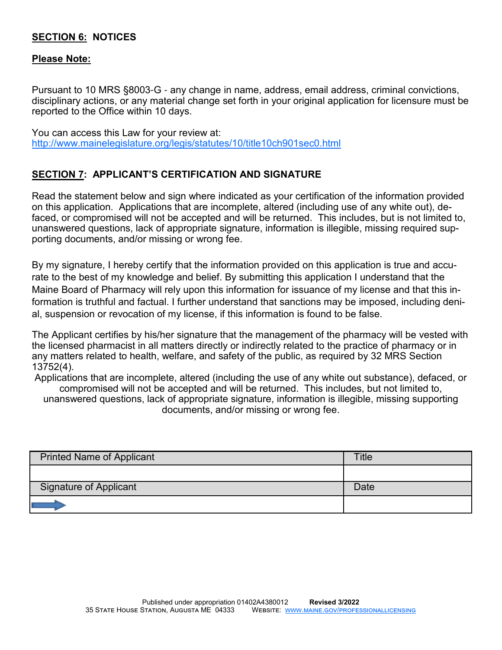#### **SECTION 6: NOTICES**

#### **Please Note:**

Pursuant to 10 MRS §8003-G - any change in name, address, email address, criminal convictions, disciplinary actions, or any material change set forth in your original application for licensure must be reported to the Office within 10 days.

You can access this Law for your review at: http://www.mainelegislature.org/legis/statutes/10/title10ch901sec0.html

#### **SECTION 7: APPLICANT'S CERTIFICATION AND SIGNATURE**

Read the statement below and sign where indicated as your certification of the information provided on this application. Applications that are incomplete, altered (including use of any white out), defaced, or compromised will not be accepted and will be returned. This includes, but is not limited to, unanswered questions, lack of appropriate signature, information is illegible, missing required supporting documents, and/or missing or wrong fee.

By my signature, I hereby certify that the information provided on this application is true and accurate to the best of my knowledge and belief. By submitting this application I understand that the Maine Board of Pharmacy will rely upon this information for issuance of my license and that this information is truthful and factual. I further understand that sanctions may be imposed, including denial, suspension or revocation of my license, if this information is found to be false.

The Applicant certifies by his/her signature that the management of the pharmacy will be vested with the licensed pharmacist in all matters directly or indirectly related to the practice of pharmacy or in any matters related to health, welfare, and safety of the public, as required by 32 MRS Section 13752(4).

Applications that are incomplete, altered (including the use of any white out substance), defaced, or compromised will not be accepted and will be returned. This includes, but not limited to, unanswered questions, lack of appropriate signature, information is illegible, missing supporting documents, and/or missing or wrong fee.

| <b>Printed Name of Applicant</b> | <b>Title</b> |
|----------------------------------|--------------|
|                                  |              |
| <b>Signature of Applicant</b>    | Date         |
|                                  |              |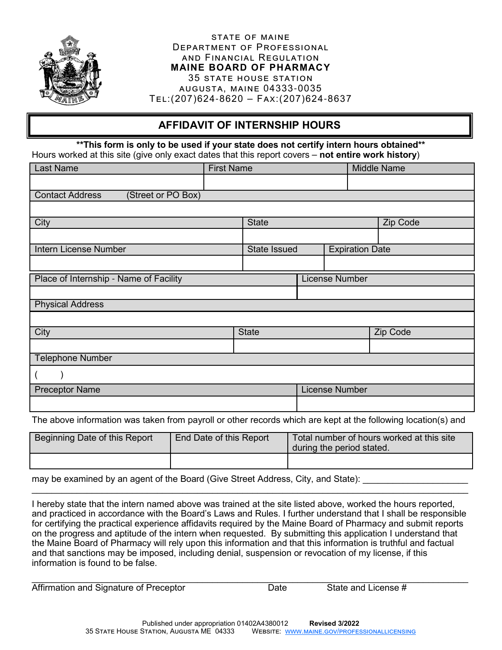

#### STATE OF MAINE DEPARTMENT OF PROFESSIONAL AND FINANCIAL REGULATION **MAINE BOARD OF PHARMACY** 35 STATE HOUSE STATION **AUGUSTA, MAINE 04333-0035**  $TEL:(207)624-8620 - FAX:(207)624-8637$

### **AFFIDAVIT OF INTERNSHIP HOURS**

**\*\*This form is only to be used if your state does not certify intern hours obtained\*\*** Hours worked at this site (give only exact dates that this report covers – **not entire work history**)

| <b>Last Name</b>                             | <b>First Name</b> |                     |                       |                        | <b>Middle Name</b> |  |
|----------------------------------------------|-------------------|---------------------|-----------------------|------------------------|--------------------|--|
|                                              |                   |                     |                       |                        |                    |  |
| (Street or PO Box)<br><b>Contact Address</b> |                   |                     |                       |                        |                    |  |
|                                              |                   |                     |                       |                        |                    |  |
| City                                         |                   | <b>State</b>        |                       |                        | Zip Code           |  |
|                                              |                   |                     |                       |                        |                    |  |
| <b>Intern License Number</b>                 |                   | <b>State Issued</b> |                       | <b>Expiration Date</b> |                    |  |
|                                              |                   |                     |                       |                        |                    |  |
| Place of Internship - Name of Facility       |                   |                     |                       | <b>License Number</b>  |                    |  |
|                                              |                   |                     |                       |                        |                    |  |
| <b>Physical Address</b>                      |                   |                     |                       |                        |                    |  |
|                                              |                   |                     |                       |                        |                    |  |
| City                                         |                   | <b>State</b>        |                       | Zip Code               |                    |  |
|                                              |                   |                     |                       |                        |                    |  |
| <b>Telephone Number</b>                      |                   |                     |                       |                        |                    |  |
|                                              |                   |                     |                       |                        |                    |  |
| <b>Preceptor Name</b>                        |                   |                     | <b>License Number</b> |                        |                    |  |
|                                              |                   |                     |                       |                        |                    |  |

The above information was taken from payroll or other records which are kept at the following location(s) and

| Beginning Date of this Report | End Date of this Report | Total number of hours worked at this site<br>during the period stated. |  |  |
|-------------------------------|-------------------------|------------------------------------------------------------------------|--|--|
|                               |                         |                                                                        |  |  |

may be examined by an agent of the Board (Give Street Address, City, and State):

I hereby state that the intern named above was trained at the site listed above, worked the hours reported, and practiced in accordance with the Board's Laws and Rules. I further understand that I shall be responsible for certifying the practical experience affidavits required by the Maine Board of Pharmacy and submit reports on the progress and aptitude of the intern when requested. By submitting this application I understand that the Maine Board of Pharmacy will rely upon this information and that this information is truthful and factual and that sanctions may be imposed, including denial, suspension or revocation of my license, if this information is found to be false.

 $\_$  , and the set of the set of the set of the set of the set of the set of the set of the set of the set of the set of the set of the set of the set of the set of the set of the set of the set of the set of the set of th

 $\_$  , and the set of the set of the set of the set of the set of the set of the set of the set of the set of the set of the set of the set of the set of the set of the set of the set of the set of the set of the set of th Affirmation and Signature of Preceptor **Date** Date State and License #